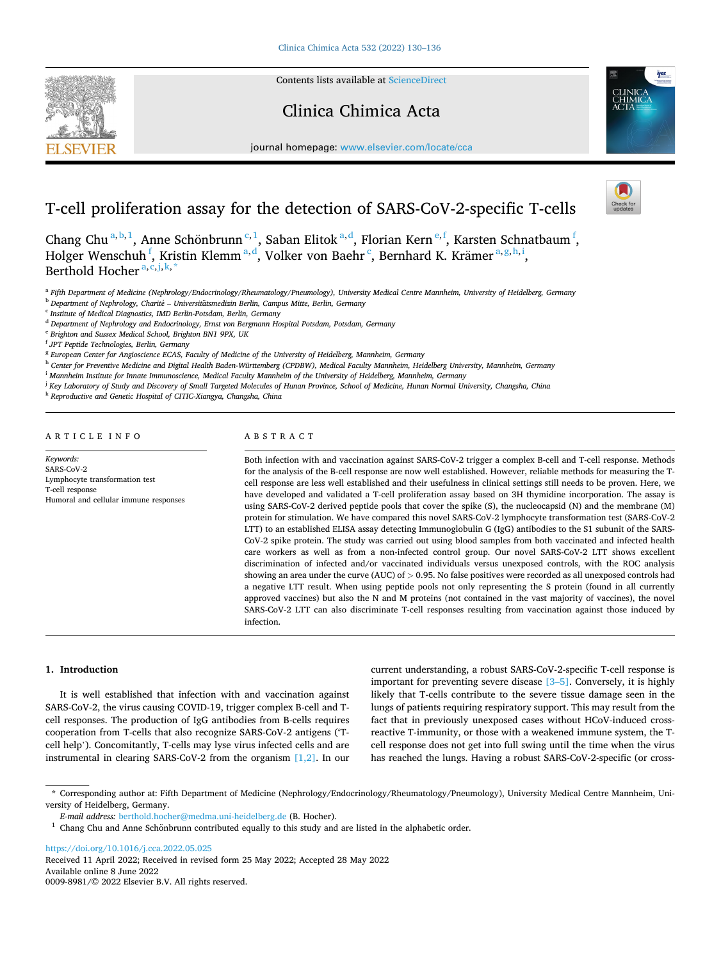Contents lists available at [ScienceDirect](www.sciencedirect.com/science/journal/00098981)

# Clinica Chimica Acta



journal homepage: [www.elsevier.com/locate/cca](https://www.elsevier.com/locate/cca) 

# T-cell proliferation assay for the detection of SARS-CoV-2-specific T-cells

Chang Chu<sup>a,b,1</sup>, Anne Schönbrunn<sup>c,1</sup>, Saban Elitok<sup>a,d</sup>, Florian Kern<sup>e,f</sup>, Karsten Schnatbaum<sup>f</sup>, Holger Wenschuh <sup>f</sup>, Kristin Klemm <sup>a, d</sup>, Volker von Baehr <sup>c</sup>, Bernhard K. Krämer <sup>a, g, h, i</sup>, Berthold Hocher  $a, c, j, k$ ,

<sup>a</sup> *Fifth Department of Medicine (Nephrology/Endocrinology/Rheumatology/Pneumology), University Medical Centre Mannheim, University of Heidelberg, Germany* 

<sup>b</sup> Department of Nephrology, Charité – Universitätsmedizin Berlin, Campus Mitte, Berlin, Germany

<sup>c</sup> *Institute of Medical Diagnostics, IMD Berlin-Potsdam, Berlin, Germany* 

<sup>d</sup> *Department of Nephrology and Endocrinology, Ernst von Bergmann Hospital Potsdam, Potsdam, Germany* 

<sup>e</sup> *Brighton and Sussex Medical School, Brighton BN1 9PX, UK* 

<sup>f</sup> *JPT Peptide Technologies, Berlin, Germany* 

<sup>g</sup> *European Center for Angioscience ECAS, Faculty of Medicine of the University of Heidelberg, Mannheim, Germany* 

<sup>h</sup> *Center for Preventive Medicine and Digital Health Baden-Württemberg (CPDBW), Medical Faculty Mannheim, Heidelberg University, Mannheim, Germany* 

<sup>i</sup> *Mannheim Institute for Innate Immunoscience, Medical Faculty Mannheim of the University of Heidelberg, Mannheim, Germany* 

<sup>j</sup> Key Laboratory of Study and Discovery of Small Targeted Molecules of Hunan Province, School of Medicine, Hunan Normal University, Changsha, China

<sup>k</sup> *Reproductive and Genetic Hospital of CITIC-Xiangya, Changsha, China* 

ARTICLE INFO

**SEVIER** 

*Keywords:*  SARS-CoV-2 Lymphocyte transformation test T-cell response Humoral and cellular immune responses

## ABSTRACT

Both infection with and vaccination against SARS-CoV-2 trigger a complex B-cell and T-cell response. Methods for the analysis of the B-cell response are now well established. However, reliable methods for measuring the Tcell response are less well established and their usefulness in clinical settings still needs to be proven. Here, we have developed and validated a T-cell proliferation assay based on 3H thymidine incorporation. The assay is using SARS-CoV-2 derived peptide pools that cover the spike (S), the nucleocapsid (N) and the membrane (M) protein for stimulation. We have compared this novel SARS-CoV-2 lymphocyte transformation test (SARS-CoV-2 LTT) to an established ELISA assay detecting Immunoglobulin G (IgG) antibodies to the S1 subunit of the SARS-CoV-2 spike protein. The study was carried out using blood samples from both vaccinated and infected health care workers as well as from a non-infected control group. Our novel SARS-CoV-2 LTT shows excellent discrimination of infected and/or vaccinated individuals versus unexposed controls, with the ROC analysis showing an area under the curve (AUC) of *>* 0.95. No false positives were recorded as all unexposed controls had a negative LTT result. When using peptide pools not only representing the S protein (found in all currently approved vaccines) but also the N and M proteins (not contained in the vast majority of vaccines), the novel SARS-CoV-2 LTT can also discriminate T-cell responses resulting from vaccination against those induced by infection.

### **1. Introduction**

It is well established that infection with and vaccination against SARS-CoV-2, the virus causing COVID-19, trigger complex B-cell and Tcell responses. The production of IgG antibodies from B-cells requires cooperation from T-cells that also recognize SARS-CoV-2 antigens ('Tcell help'). Concomitantly, T-cells may lyse virus infected cells and are instrumental in clearing SARS-CoV-2 from the organism  $[1,2]$ . In our current understanding, a robust SARS-CoV-2-specific T-cell response is important for preventing severe disease [\[3](#page-5-0)–5]. Conversely, it is highly likely that T-cells contribute to the severe tissue damage seen in the lungs of patients requiring respiratory support. This may result from the fact that in previously unexposed cases without HCoV-induced crossreactive T-immunity, or those with a weakened immune system, the Tcell response does not get into full swing until the time when the virus has reached the lungs. Having a robust SARS-CoV-2-specific (or cross-

<https://doi.org/10.1016/j.cca.2022.05.025>

Available online 8 June 2022 0009-8981/© 2022 Elsevier B.V. All rights reserved. Received 11 April 2022; Received in revised form 25 May 2022; Accepted 28 May 2022

<sup>\*</sup> Corresponding author at: Fifth Department of Medicine (Nephrology/Endocrinology/Rheumatology/Pneumology), University Medical Centre Mannheim, University of Heidelberg, Germany.<br>
E-mail address: berthold.hocher@medma.uni-heidelberg.de (B. Hocher).

<sup>&</sup>lt;sup>1</sup> Chang Chu and Anne Schönbrunn contributed equally to this study and are listed in the alphabetic order.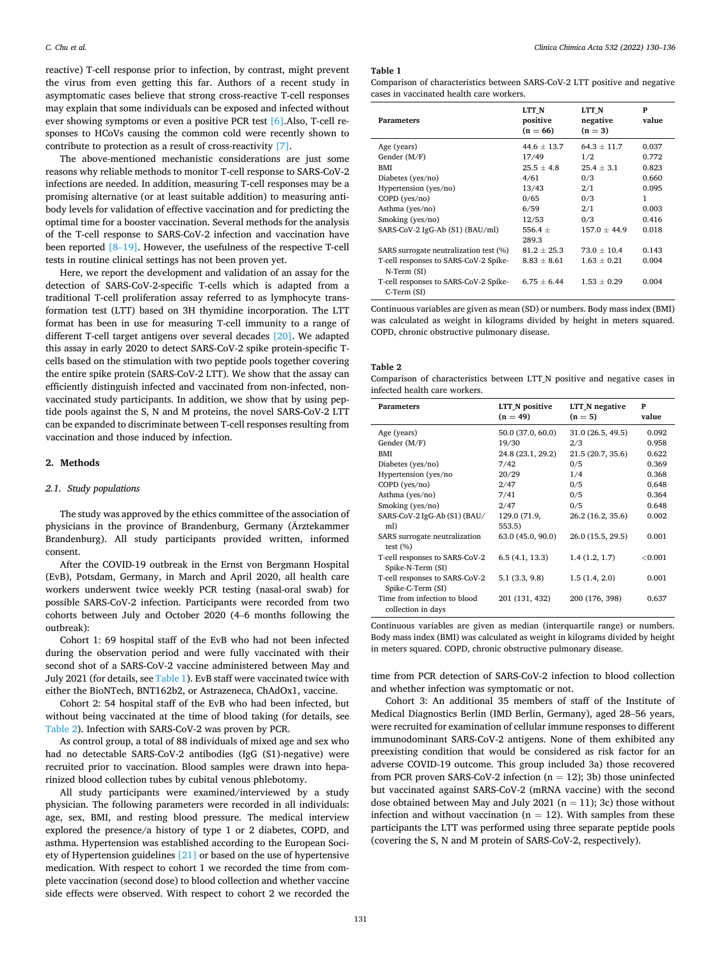<span id="page-1-0"></span>reactive) T-cell response prior to infection, by contrast, might prevent the virus from even getting this far. Authors of a recent study in asymptomatic cases believe that strong cross-reactive T-cell responses may explain that some individuals can be exposed and infected without ever showing symptoms or even a positive PCR test [\[6\].](#page-5-0)Also, T-cell responses to HCoVs causing the common cold were recently shown to contribute to protection as a result of cross-reactivity [\[7\]](#page-5-0).

The above-mentioned mechanistic considerations are just some reasons why reliable methods to monitor T-cell response to SARS-CoV-2 infections are needed. In addition, measuring T-cell responses may be a promising alternative (or at least suitable addition) to measuring antibody levels for validation of effective vaccination and for predicting the optimal time for a booster vaccination. Several methods for the analysis of the T-cell response to SARS-CoV-2 infection and vaccination have been reported [8–[19\].](#page-6-0) However, the usefulness of the respective T-cell tests in routine clinical settings has not been proven yet.

Here, we report the development and validation of an assay for the detection of SARS-CoV-2-specific T-cells which is adapted from a traditional T-cell proliferation assay referred to as lymphocyte transformation test (LTT) based on 3H thymidine incorporation. The LTT format has been in use for measuring T-cell immunity to a range of different T-cell target antigens over several decades [\[20\]](#page-6-0). We adapted this assay in early 2020 to detect SARS-CoV-2 spike protein-specific Tcells based on the stimulation with two peptide pools together covering the entire spike protein (SARS-CoV-2 LTT). We show that the assay can efficiently distinguish infected and vaccinated from non-infected, nonvaccinated study participants. In addition, we show that by using peptide pools against the S, N and M proteins, the novel SARS-CoV-2 LTT can be expanded to discriminate between T-cell responses resulting from vaccination and those induced by infection.

### **2. Methods**

#### *2.1. Study populations*

The study was approved by the ethics committee of the association of physicians in the province of Brandenburg, Germany (Arztekammer Brandenburg). All study participants provided written, informed consent.

After the COVID-19 outbreak in the Ernst von Bergmann Hospital (EvB), Potsdam, Germany, in March and April 2020, all health care workers underwent twice weekly PCR testing (nasal-oral swab) for possible SARS-CoV-2 infection. Participants were recorded from two cohorts between July and October 2020 (4–6 months following the outbreak):

Cohort 1: 69 hospital staff of the EvB who had not been infected during the observation period and were fully vaccinated with their second shot of a SARS-CoV-2 vaccine administered between May and July 2021 (for details, see Table 1). EvB staff were vaccinated twice with either the BioNTech, BNT162b2, or Astrazeneca, ChAdOx1, vaccine.

Cohort 2: 54 hospital staff of the EvB who had been infected, but without being vaccinated at the time of blood taking (for details, see Table 2). Infection with SARS-CoV-2 was proven by PCR.

As control group, a total of 88 individuals of mixed age and sex who had no detectable SARS-CoV-2 antibodies (IgG (S1)-negative) were recruited prior to vaccination. Blood samples were drawn into heparinized blood collection tubes by cubital venous phlebotomy.

All study participants were examined/interviewed by a study physician. The following parameters were recorded in all individuals: age, sex, BMI, and resting blood pressure. The medical interview explored the presence/a history of type 1 or 2 diabetes, COPD, and asthma. Hypertension was established according to the European Society of Hypertension guidelines [\[21\]](#page-6-0) or based on the use of hypertensive medication. With respect to cohort 1 we recorded the time from complete vaccination (second dose) to blood collection and whether vaccine side effects were observed. With respect to cohort 2 we recorded the

#### **Table 1**

| Comparison of characteristics between SARS-CoV-2 LTT positive and negative |  |  |
|----------------------------------------------------------------------------|--|--|
| cases in vaccinated health care workers.                                   |  |  |

| <b>Parameters</b>                                    | LTT N<br>positive<br>$(n = 66)$ | LTT N<br>negative<br>$(n=3)$ | P<br>value |
|------------------------------------------------------|---------------------------------|------------------------------|------------|
| Age (years)                                          | $44.6 \pm 13.7$                 | $64.3 \pm 11.7$              | 0.037      |
| Gender (M/F)                                         | 17/49                           | 1/2                          | 0.772      |
| <b>BMI</b>                                           | $25.5 \pm 4.8$                  | $25.4 + 3.1$                 | 0.823      |
| Diabetes (yes/no)                                    | 4/61                            | 0/3                          | 0.660      |
| Hypertension (yes/no)                                | 13/43                           | 2/1                          | 0.095      |
| $COPD$ ( $ves/no$ )                                  | 0/65                            | 0/3                          | 1          |
| Asthma (yes/no)                                      | 6/59                            | 2/1                          | 0.003      |
| Smoking (yes/no)                                     | 12/53                           | 0/3                          | 0.416      |
| SARS-CoV-2 IgG-Ab (S1) (BAU/ml)                      | 556.4 $\pm$                     | $157.0 \pm 44.9$             | 0.018      |
|                                                      | 289.3                           |                              |            |
| SARS surrogate neutralization test (%)               | $81.2 \pm 25.3$                 | $73.0 + 10.4$                | 0.143      |
| T-cell responses to SARS-CoV-2 Spike-<br>N-Term (SI) | $8.83 \pm 8.61$                 | $1.63 + 0.21$                | 0.004      |
| T-cell responses to SARS-CoV-2 Spike-<br>C-Term (SI) | $6.75 \pm 6.44$                 | $1.53 + 0.29$                | 0.004      |

Continuous variables are given as mean (SD) or numbers. Body mass index (BMI) was calculated as weight in kilograms divided by height in meters squared. COPD, chronic obstructive pulmonary disease.

#### **Table 2**

Comparison of characteristics between LTT\_N positive and negative cases in infected health care workers.

| <b>Parameters</b>                                   | LTT_N positive<br>$(n = 49)$ | LTT N negative<br>$(n = 5)$ | P<br>value |
|-----------------------------------------------------|------------------------------|-----------------------------|------------|
| Age (years)                                         | 50.0 (37.0, 60.0)            | 31.0 (26.5, 49.5)           | 0.092      |
| Gender (M/F)                                        | 19/30                        | 2/3                         | 0.958      |
| <b>BMI</b>                                          | 24.8 (23.1, 29.2)            | 21.5 (20.7, 35.6)           | 0.622      |
| Diabetes (yes/no)                                   | 7/42                         | 0/5                         | 0.369      |
| Hypertension (yes/no                                | 20/29                        | 1/4                         | 0.368      |
| $COPD$ ( $ves/no$ )                                 | 2/47                         | 0/5                         | 0.648      |
| Asthma (yes/no)                                     | 7/41                         | 0/5                         | 0.364      |
| Smoking (yes/no)                                    | 2/47                         | 0/5                         | 0.648      |
| SARS-CoV-2 IgG-Ab (S1) (BAU/<br>ml)                 | 129.0 (71.9,<br>553.5)       | 26.2 (16.2, 35.6)           | 0.002      |
| SARS surrogate neutralization<br>test $(\% )$       | 63.0(45.0, 90.0)             | 26.0 (15.5, 29.5)           | 0.001      |
| T-cell responses to SARS-CoV-2<br>Spike-N-Term (SI) | 6.5(4.1, 13.3)               | 1.4(1.2, 1.7)               | ${<}0.001$ |
| T-cell responses to SARS-CoV-2<br>Spike-C-Term (SI) | 5.1(3.3, 9.8)                | 1.5(1.4, 2.0)               | 0.001      |
| Time from infection to blood<br>collection in days  | 201 (131, 432)               | 200 (176, 398)              | 0.637      |

Continuous variables are given as median (interquartile range) or numbers. Body mass index (BMI) was calculated as weight in kilograms divided by height in meters squared. COPD, chronic obstructive pulmonary disease.

time from PCR detection of SARS-CoV-2 infection to blood collection and whether infection was symptomatic or not.

Cohort 3: An additional 35 members of staff of the Institute of Medical Diagnostics Berlin (IMD Berlin, Germany), aged 28–56 years, were recruited for examination of cellular immune responses to different immunodominant SARS-CoV-2 antigens. None of them exhibited any preexisting condition that would be considered as risk factor for an adverse COVID-19 outcome. This group included 3a) those recovered from PCR proven SARS-CoV-2 infection  $(n = 12)$ ; 3b) those uninfected but vaccinated against SARS-CoV-2 (mRNA vaccine) with the second dose obtained between May and July 2021 ( $n = 11$ ); 3c) those without infection and without vaccination ( $n = 12$ ). With samples from these participants the LTT was performed using three separate peptide pools (covering the S, N and M protein of SARS-CoV-2, respectively).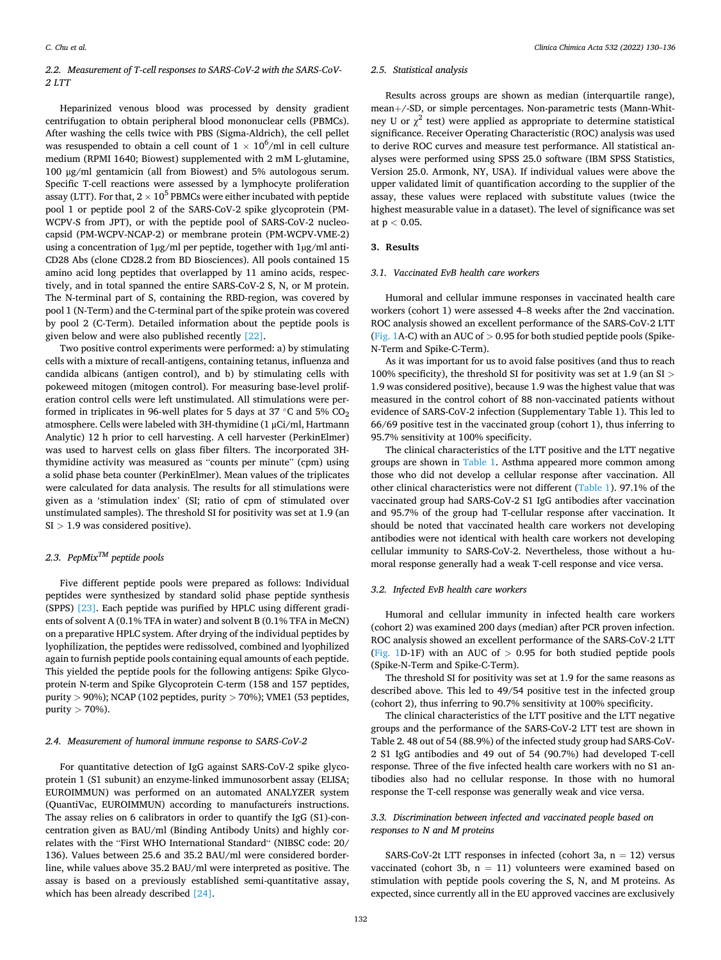## *2.2. Measurement of T-cell responses to SARS-CoV-2 with the SARS-CoV-2 LTT*

Heparinized venous blood was processed by density gradient centrifugation to obtain peripheral blood mononuclear cells (PBMCs). After washing the cells twice with PBS (Sigma-Aldrich), the cell pellet was resuspended to obtain a cell count of  $1 \times 10^6/\text{ml}$  in cell culture medium (RPMI 1640; Biowest) supplemented with 2 mM L-glutamine, 100 μg/ml gentamicin (all from Biowest) and 5% autologous serum. Specific T-cell reactions were assessed by a lymphocyte proliferation assay (LTT). For that,  $2 \times 10^5$  PBMCs were either incubated with peptide pool 1 or peptide pool 2 of the SARS-CoV-2 spike glycoprotein (PM-WCPV-S from JPT), or with the peptide pool of SARS-CoV-2 nucleocapsid (PM-WCPV-NCAP-2) or membrane protein (PM-WCPV-VME-2) using a concentration of 1µg/ml per peptide, together with 1µg/ml anti-CD28 Abs (clone CD28.2 from BD Biosciences). All pools contained 15 amino acid long peptides that overlapped by 11 amino acids, respectively, and in total spanned the entire SARS-CoV-2 S, N, or M protein. The N-terminal part of S, containing the RBD-region, was covered by pool 1 (N-Term) and the C-terminal part of the spike protein was covered by pool 2 (C-Term). Detailed information about the peptide pools is given below and were also published recently [\[22\].](#page-6-0)

Two positive control experiments were performed: a) by stimulating cells with a mixture of recall-antigens, containing tetanus, influenza and candida albicans (antigen control), and b) by stimulating cells with pokeweed mitogen (mitogen control). For measuring base-level proliferation control cells were left unstimulated. All stimulations were performed in triplicates in 96-well plates for 5 days at 37  $°C$  and 5%  $CO<sub>2</sub>$ atmosphere. Cells were labeled with 3H-thymidine (1 μCi/ml, Hartmann Analytic) 12 h prior to cell harvesting. A cell harvester (PerkinElmer) was used to harvest cells on glass fiber filters. The incorporated 3Hthymidine activity was measured as "counts per minute" (cpm) using a solid phase beta counter (PerkinElmer). Mean values of the triplicates were calculated for data analysis. The results for all stimulations were given as a 'stimulation index' (SI; ratio of cpm of stimulated over unstimulated samples). The threshold SI for positivity was set at 1.9 (an SI *>* 1.9 was considered positive).

# *2.3. PepMixTM peptide pools*

Five different peptide pools were prepared as follows: Individual peptides were synthesized by standard solid phase peptide synthesis (SPPS) [\[23\]](#page-6-0). Each peptide was purified by HPLC using different gradients of solvent A (0.1% TFA in water) and solvent B (0.1% TFA in MeCN) on a preparative HPLC system. After drying of the individual peptides by lyophilization, the peptides were redissolved, combined and lyophilized again to furnish peptide pools containing equal amounts of each peptide. This yielded the peptide pools for the following antigens: Spike Glycoprotein N-term and Spike Glycoprotein C-term (158 and 157 peptides, purity *>* 90%); NCAP (102 peptides, purity *>* 70%); VME1 (53 peptides, purity *>* 70%).

#### *2.4. Measurement of humoral immune response to SARS-CoV-2*

For quantitative detection of IgG against SARS-CoV-2 spike glycoprotein 1 (S1 subunit) an enzyme-linked immunosorbent assay (ELISA; EUROIMMUN) was performed on an automated ANALYZER system (QuantiVac, EUROIMMUN) according to manufacturers instructions. The assay relies on 6 calibrators in order to quantify the IgG (S1)-concentration given as BAU/ml (Binding Antibody Units) and highly correlates with the "First WHO International Standard" (NIBSC code: 20/ 136). Values between 25.6 and 35.2 BAU/ml were considered borderline, while values above 35.2 BAU/ml were interpreted as positive. The assay is based on a previously established semi-quantitative assay, which has been already described [\[24\]](#page-6-0).

#### *2.5. Statistical analysis*

Results across groups are shown as median (interquartile range), mean+/-SD, or simple percentages. Non-parametric tests (Mann-Whitney U or  $\chi^2$  test) were applied as appropriate to determine statistical significance. Receiver Operating Characteristic (ROC) analysis was used to derive ROC curves and measure test performance. All statistical analyses were performed using SPSS 25.0 software (IBM SPSS Statistics, Version 25.0. Armonk, NY, USA). If individual values were above the upper validated limit of quantification according to the supplier of the assay, these values were replaced with substitute values (twice the highest measurable value in a dataset). The level of significance was set at p *<* 0.05.

#### **3. Results**

#### *3.1. Vaccinated EvB health care workers*

Humoral and cellular immune responses in vaccinated health care workers (cohort 1) were assessed 4–8 weeks after the 2nd vaccination. ROC analysis showed an excellent performance of the SARS-CoV-2 LTT ([Fig. 1](#page-3-0)A-C) with an AUC of *>* 0.95 for both studied peptide pools (Spike-N-Term and Spike-C-Term).

As it was important for us to avoid false positives (and thus to reach 100% specificity), the threshold SI for positivity was set at 1.9 (an SI *>* 1.9 was considered positive), because 1.9 was the highest value that was measured in the control cohort of 88 non-vaccinated patients without evidence of SARS-CoV-2 infection (Supplementary Table 1). This led to 66/69 positive test in the vaccinated group (cohort 1), thus inferring to 95.7% sensitivity at 100% specificity.

The clinical characteristics of the LTT positive and the LTT negative groups are shown in [Table 1.](#page-1-0) Asthma appeared more common among those who did not develop a cellular response after vaccination. All other clinical characteristics were not different [\(Table 1](#page-1-0)). 97.1% of the vaccinated group had SARS-CoV-2 S1 IgG antibodies after vaccination and 95.7% of the group had T-cellular response after vaccination. It should be noted that vaccinated health care workers not developing antibodies were not identical with health care workers not developing cellular immunity to SARS-CoV-2. Nevertheless, those without a humoral response generally had a weak T-cell response and vice versa.

#### *3.2. Infected EvB health care workers*

Humoral and cellular immunity in infected health care workers (cohort 2) was examined 200 days (median) after PCR proven infection. ROC analysis showed an excellent performance of the SARS-CoV-2 LTT ([Fig. 1D](#page-3-0)-1F) with an AUC of *>* 0.95 for both studied peptide pools (Spike-N-Term and Spike-C-Term).

The threshold SI for positivity was set at 1.9 for the same reasons as described above. This led to 49/54 positive test in the infected group (cohort 2), thus inferring to 90.7% sensitivity at 100% specificity.

The clinical characteristics of the LTT positive and the LTT negative groups and the performance of the SARS-CoV-2 LTT test are shown in Table 2. 48 out of 54 (88.9%) of the infected study group had SARS-CoV-2 S1 IgG antibodies and 49 out of 54 (90.7%) had developed T-cell response. Three of the five infected health care workers with no S1 antibodies also had no cellular response. In those with no humoral response the T-cell response was generally weak and vice versa.

### *3.3. Discrimination between infected and vaccinated people based on responses to N and M proteins*

SARS-CoV-2t LTT responses in infected (cohort 3a,  $n = 12$ ) versus vaccinated (cohort 3b,  $n = 11$ ) volunteers were examined based on stimulation with peptide pools covering the S, N, and M proteins. As expected, since currently all in the EU approved vaccines are exclusively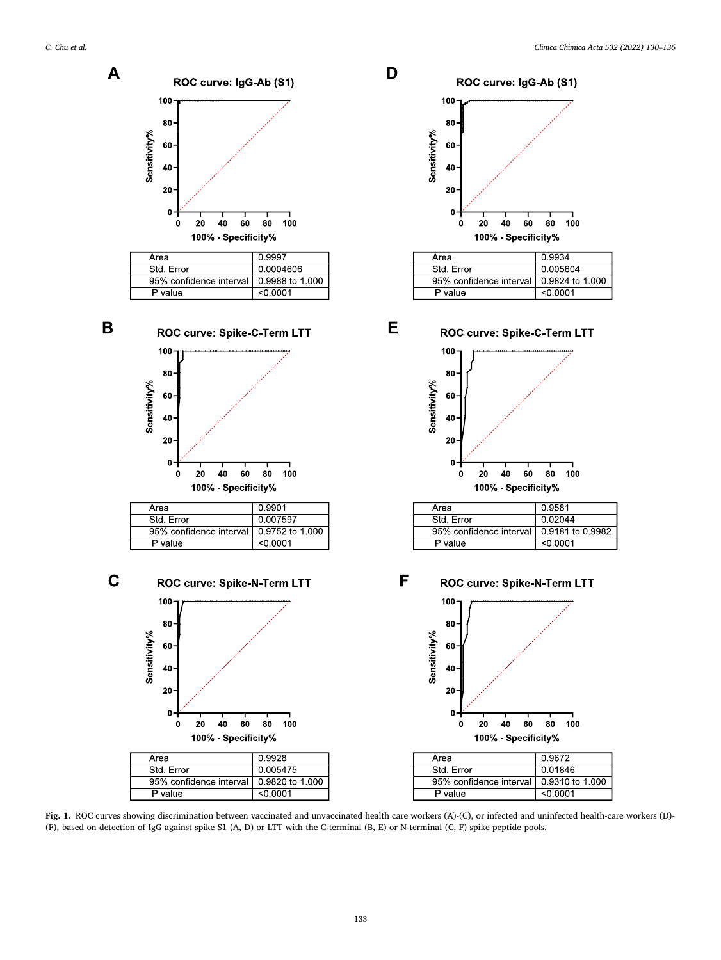B

<span id="page-3-0"></span>

| Area                    | 0.9997           |
|-------------------------|------------------|
| Std. Error              | 0.0004606        |
| 95% confidence interval | 10.9988 to 1.000 |
| P value                 | <∩ ∩∩ก1          |



95% confidence interval

P value

P value





D

E

| Area                                      | 0.9934   |
|-------------------------------------------|----------|
| Std. Error                                | 0.005604 |
| 95% confidence interval   0.9824 to 1.000 |          |
| ' value                                   | <∩ ∩∩ก1  |

ROC curve: Spike-C-Term LTT 100 80 Sensitivity% 60 40 20  $\mathbf{0}$ 20 40 60 80 100  $\bf{0}$ 100% - Specificity%

| Area                                       | 0.9581  |
|--------------------------------------------|---------|
| Std. Frror                                 | 0.02044 |
| 95% confidence interval 1 0.9181 to 0.9982 |         |
| P value                                    | <0.0001 |

 $\mathbf C$ F ROC curve: Spike-N-Term LTT 100 80 Sensitivity% 60 40 20  $\mathbf 0$  $40$  $60$  $80$ 100  $\mathbf 0$  $20$ 100% - Specificity% Area 0.9928 Std. Error 0.005475 95% confidence interval 0.9820 to 1.000

 $< 0.0001$ 

0.9752 to 1.000

 $< 0.0001$ 

|              |     | ROC curve: Spike-N-Term LTT |    |                   |    |     |
|--------------|-----|-----------------------------|----|-------------------|----|-----|
|              | 100 |                             |    |                   |    |     |
|              | 80  |                             |    |                   |    |     |
| Sensitivity% | 60  |                             |    |                   |    |     |
|              | 40  |                             |    |                   |    |     |
|              | 20  |                             |    |                   |    |     |
|              | 0   |                             |    |                   |    |     |
|              | O   | 20                          | 40 | 60                | 80 | 100 |
|              |     |                             |    | 100% Specificity% |    |     |

| Area                                      | 0.9672   |
|-------------------------------------------|----------|
| Std. Frror                                | 0.01846  |
| 95% confidence interval   0.9310 to 1.000 |          |
| P value                                   | < 0.0001 |
|                                           |          |

Fig. 1. ROC curves showing discrimination between vaccinated and unvaccinated health care workers (A)-(C), or infected and uninfected health-care workers (D)-(F), based on detection of IgG against spike S1 (A, D) or LTT with the C-terminal (B, E) or N-terminal (C, F) spike peptide pools.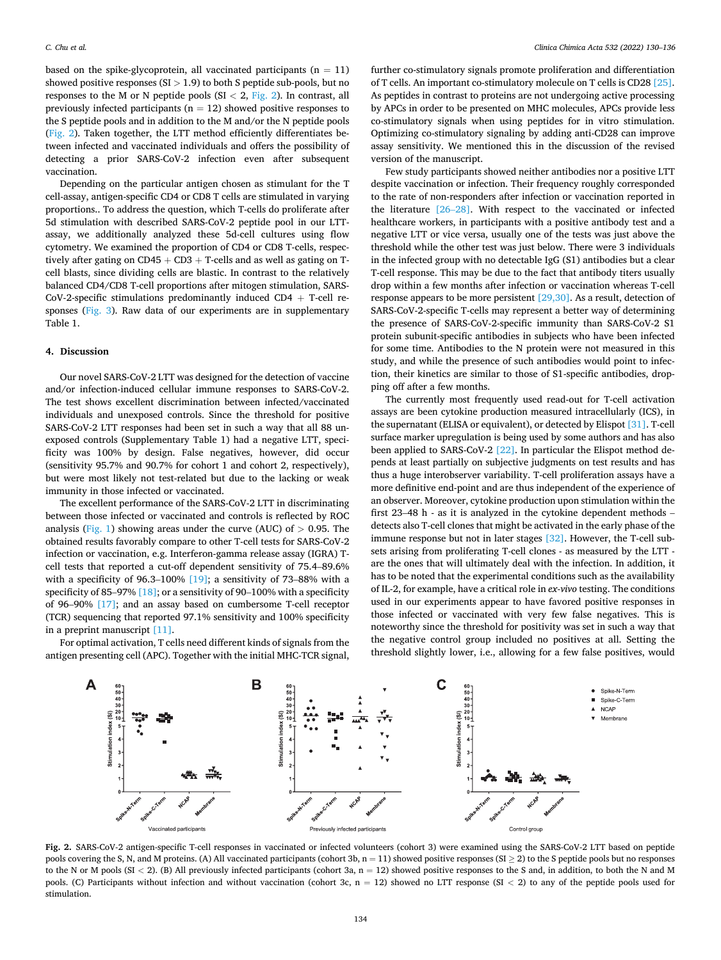based on the spike-glycoprotein, all vaccinated participants  $(n = 11)$ showed positive responses (SI *>* 1.9) to both S peptide sub-pools, but no responses to the M or N peptide pools (SI *<* 2, Fig. 2). In contrast, all previously infected participants ( $n = 12$ ) showed positive responses to the S peptide pools and in addition to the M and/or the N peptide pools (Fig. 2). Taken together, the LTT method efficiently differentiates between infected and vaccinated individuals and offers the possibility of detecting a prior SARS-CoV-2 infection even after subsequent vaccination.

Depending on the particular antigen chosen as stimulant for the T cell-assay, antigen-specific CD4 or CD8 T cells are stimulated in varying proportions.. To address the question, which T-cells do proliferate after 5d stimulation with described SARS-CoV-2 peptide pool in our LTTassay, we additionally analyzed these 5d-cell cultures using flow cytometry. We examined the proportion of CD4 or CD8 T-cells, respectively after gating on  $CD45 + CD3 + T$ -cells and as well as gating on Tcell blasts, since dividing cells are blastic. In contrast to the relatively balanced CD4/CD8 T-cell proportions after mitogen stimulation, SARS-CoV-2-specific stimulations predominantly induced  $CD4 + T$ -cell responses ([Fig. 3](#page-5-0)). Raw data of our experiments are in supplementary Table 1.

#### **4. Discussion**

Our novel SARS-CoV-2 LTT was designed for the detection of vaccine and/or infection-induced cellular immune responses to SARS-CoV-2. The test shows excellent discrimination between infected/vaccinated individuals and unexposed controls. Since the threshold for positive SARS-CoV-2 LTT responses had been set in such a way that all 88 unexposed controls (Supplementary Table 1) had a negative LTT, specificity was 100% by design. False negatives, however, did occur (sensitivity 95.7% and 90.7% for cohort 1 and cohort 2, respectively), but were most likely not test-related but due to the lacking or weak immunity in those infected or vaccinated.

The excellent performance of the SARS-CoV-2 LTT in discriminating between those infected or vaccinated and controls is reflected by ROC analysis [\(Fig. 1\)](#page-3-0) showing areas under the curve (AUC) of *>* 0.95. The obtained results favorably compare to other T-cell tests for SARS-CoV-2 infection or vaccination, e.g. Interferon-gamma release assay (IGRA) Tcell tests that reported a cut-off dependent sensitivity of 75.4–89.6% with a specificity of 96.3–100% [\[19\];](#page-6-0) a sensitivity of 73–88% with a specificity of 85–97% [\[18\];](#page-6-0) or a sensitivity of 90–100% with a specificity of 96–90% [\[17\];](#page-6-0) and an assay based on cumbersome T-cell receptor (TCR) sequencing that reported 97.1% sensitivity and 100% specificity in a preprint manuscript [\[11\]](#page-6-0).

For optimal activation, T cells need different kinds of signals from the antigen presenting cell (APC). Together with the initial MHC-TCR signal,

further co-stimulatory signals promote proliferation and differentiation of T cells. An important co-stimulatory molecule on T cells is CD28 [\[25\]](#page-6-0). As peptides in contrast to proteins are not undergoing active processing by APCs in order to be presented on MHC molecules, APCs provide less co-stimulatory signals when using peptides for in vitro stimulation. Optimizing co-stimulatory signaling by adding anti-CD28 can improve assay sensitivity. We mentioned this in the discussion of the revised version of the manuscript.

Few study participants showed neither antibodies nor a positive LTT despite vaccination or infection. Their frequency roughly corresponded to the rate of non-responders after infection or vaccination reported in the literature [26–[28\].](#page-6-0) With respect to the vaccinated or infected healthcare workers, in participants with a positive antibody test and a negative LTT or vice versa, usually one of the tests was just above the threshold while the other test was just below. There were 3 individuals in the infected group with no detectable IgG (S1) antibodies but a clear T-cell response. This may be due to the fact that antibody titers usually drop within a few months after infection or vaccination whereas T-cell response appears to be more persistent [\[29,30\]](#page-6-0). As a result, detection of SARS-CoV-2-specific T-cells may represent a better way of determining the presence of SARS-CoV-2-specific immunity than SARS-CoV-2 S1 protein subunit-specific antibodies in subjects who have been infected for some time. Antibodies to the N protein were not measured in this study, and while the presence of such antibodies would point to infection, their kinetics are similar to those of S1-specific antibodies, dropping off after a few months.

The currently most frequently used read-out for T-cell activation assays are been cytokine production measured intracellularly (ICS), in the supernatant (ELISA or equivalent), or detected by Elispot [\[31\]](#page-6-0). T-cell surface marker upregulation is being used by some authors and has also been applied to SARS-CoV-2 [\[22\]](#page-6-0). In particular the Elispot method depends at least partially on subjective judgments on test results and has thus a huge interobserver variability. T-cell proliferation assays have a more definitive end-point and are thus independent of the experience of an observer. Moreover, cytokine production upon stimulation within the first 23–48 h - as it is analyzed in the cytokine dependent methods – detects also T-cell clones that might be activated in the early phase of the immune response but not in later stages [\[32\]](#page-6-0). However, the T-cell subsets arising from proliferating T-cell clones - as measured by the LTT are the ones that will ultimately deal with the infection. In addition, it has to be noted that the experimental conditions such as the availability of IL-2, for example, have a critical role in *ex-vivo* testing. The conditions used in our experiments appear to have favored positive responses in those infected or vaccinated with very few false negatives. This is noteworthy since the threshold for positivity was set in such a way that the negative control group included no positives at all. Setting the threshold slightly lower, i.e., allowing for a few false positives, would



**Fig. 2.** SARS-CoV-2 antigen-specific T-cell responses in vaccinated or infected volunteers (cohort 3) were examined using the SARS-CoV-2 LTT based on peptide pools covering the S, N, and M proteins. (A) All vaccinated participants (cohort 3b,  $n = 11$ ) showed positive responses (SI  $\geq$  2) to the S peptide pools but no responses to the N or M pools (SI < 2). (B) All previously infected participants (cohort 3a, n = 12) showed positive responses to the S and, in addition, to both the N and M pools. (C) Participants without infection and without vaccination (cohort 3c, n = 12) showed no LTT response (SI *<* 2) to any of the peptide pools used for stimulation.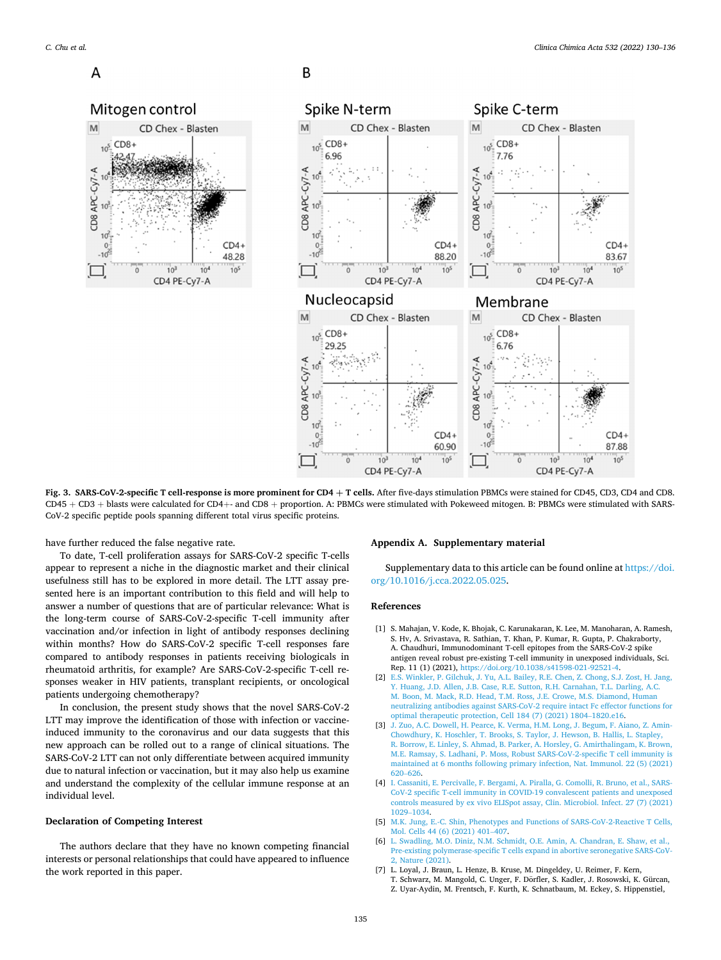<span id="page-5-0"></span> $\Delta$ 



B



**Fig. 3. SARS-CoV-2-specific T cell-response is more prominent for CD4 þ T cells.** After five-days stimulation PBMCs were stained for CD45, CD3, CD4 and CD8. CD45 + CD3 + blasts were calculated for CD4+- and CD8 + proportion. A: PBMCs were stimulated with Pokeweed mitogen. B: PBMCs were stimulated with SARS-CoV-2 specific peptide pools spanning different total virus specific proteins.

have further reduced the false negative rate.

To date, T-cell proliferation assays for SARS-CoV-2 specific T-cells appear to represent a niche in the diagnostic market and their clinical usefulness still has to be explored in more detail. The LTT assay presented here is an important contribution to this field and will help to answer a number of questions that are of particular relevance: What is the long-term course of SARS-CoV-2-specific T-cell immunity after vaccination and/or infection in light of antibody responses declining within months? How do SARS-CoV-2 specific T-cell responses fare compared to antibody responses in patients receiving biologicals in rheumatoid arthritis, for example? Are SARS-CoV-2-specific T-cell responses weaker in HIV patients, transplant recipients, or oncological patients undergoing chemotherapy?

In conclusion, the present study shows that the novel SARS-CoV-2 LTT may improve the identification of those with infection or vaccineinduced immunity to the coronavirus and our data suggests that this new approach can be rolled out to a range of clinical situations. The SARS-CoV-2 LTT can not only differentiate between acquired immunity due to natural infection or vaccination, but it may also help us examine and understand the complexity of the cellular immune response at an individual level.

## **Declaration of Competing Interest**

The authors declare that they have no known competing financial interests or personal relationships that could have appeared to influence the work reported in this paper.

## **Appendix A. Supplementary material**

Supplementary data to this article can be found online at [https://doi.](https://doi.org/10.1016/j.cca.2022.05.025)  [org/10.1016/j.cca.2022.05.025](https://doi.org/10.1016/j.cca.2022.05.025).

#### **References**

- [1] S. Mahajan, V. Kode, K. Bhojak, C. Karunakaran, K. Lee, M. Manoharan, A. Ramesh, S. Hv, A. Srivastava, R. Sathian, T. Khan, P. Kumar, R. Gupta, P. Chakraborty, A. Chaudhuri, Immunodominant T-cell epitopes from the SARS-CoV-2 spike antigen reveal robust pre-existing T-cell immunity in unexposed individuals, Sci. Rep. 11 (1) (2021), <https://doi.org/10.1038/s41598-021-92521-4>.
- [2] [E.S. Winkler, P. Gilchuk, J. Yu, A.L. Bailey, R.E. Chen, Z. Chong, S.J. Zost, H. Jang,](http://refhub.elsevier.com/S0009-8981(22)01178-0/h0010)  [Y. Huang, J.D. Allen, J.B. Case, R.E. Sutton, R.H. Carnahan, T.L. Darling, A.C.](http://refhub.elsevier.com/S0009-8981(22)01178-0/h0010)  [M. Boon, M. Mack, R.D. Head, T.M. Ross, J.E. Crowe, M.S. Diamond, Human](http://refhub.elsevier.com/S0009-8981(22)01178-0/h0010) [neutralizing antibodies against SARS-CoV-2 require intact Fc effector functions for](http://refhub.elsevier.com/S0009-8981(22)01178-0/h0010)  [optimal therapeutic protection, Cell 184 \(7\) \(2021\) 1804](http://refhub.elsevier.com/S0009-8981(22)01178-0/h0010)–1820.e16.
- [3] [J. Zuo, A.C. Dowell, H. Pearce, K. Verma, H.M. Long, J. Begum, F. Aiano, Z. Amin-](http://refhub.elsevier.com/S0009-8981(22)01178-0/h0015)[Chowdhury, K. Hoschler, T. Brooks, S. Taylor, J. Hewson, B. Hallis, L. Stapley,](http://refhub.elsevier.com/S0009-8981(22)01178-0/h0015)  [R. Borrow, E. Linley, S. Ahmad, B. Parker, A. Horsley, G. Amirthalingam, K. Brown,](http://refhub.elsevier.com/S0009-8981(22)01178-0/h0015)  [M.E. Ramsay, S. Ladhani, P. Moss, Robust SARS-CoV-2-specific T cell immunity is](http://refhub.elsevier.com/S0009-8981(22)01178-0/h0015)  [maintained at 6 months following primary infection, Nat. Immunol. 22 \(5\) \(2021\)](http://refhub.elsevier.com/S0009-8981(22)01178-0/h0015)  620–[626.](http://refhub.elsevier.com/S0009-8981(22)01178-0/h0015)
- [4] [I. Cassaniti, E. Percivalle, F. Bergami, A. Piralla, G. Comolli, R. Bruno, et al., SARS-](http://refhub.elsevier.com/S0009-8981(22)01178-0/h0020)[CoV-2 specific T-cell immunity in COVID-19 convalescent patients and unexposed](http://refhub.elsevier.com/S0009-8981(22)01178-0/h0020)  [controls measured by ex vivo ELISpot assay, Clin. Microbiol. Infect. 27 \(7\) \(2021\)](http://refhub.elsevier.com/S0009-8981(22)01178-0/h0020)  1029–[1034.](http://refhub.elsevier.com/S0009-8981(22)01178-0/h0020)
- [5] [M.K. Jung, E.-C. Shin, Phenotypes and Functions of SARS-CoV-2-Reactive T Cells,](http://refhub.elsevier.com/S0009-8981(22)01178-0/h0025)  [Mol. Cells 44 \(6\) \(2021\) 401](http://refhub.elsevier.com/S0009-8981(22)01178-0/h0025)–407.
- [6] [L. Swadling, M.O. Diniz, N.M. Schmidt, O.E. Amin, A. Chandran, E. Shaw, et al.,](http://refhub.elsevier.com/S0009-8981(22)01178-0/h0030) [Pre-existing polymerase-specific T cells expand in abortive seronegative SARS-CoV-](http://refhub.elsevier.com/S0009-8981(22)01178-0/h0030)[2, Nature \(2021\).](http://refhub.elsevier.com/S0009-8981(22)01178-0/h0030)
- [7] L. Loyal, J. Braun, L. Henze, B. Kruse, M. Dingeldey, U. Reimer, F. Kern, T. Schwarz, M. Mangold, C. Unger, F. Dorfler, S. Kadler, J. Rosowski, K. Gürcan, Z. Uyar-Aydin, M. Frentsch, F. Kurth, K. Schnatbaum, M. Eckey, S. Hippenstiel,